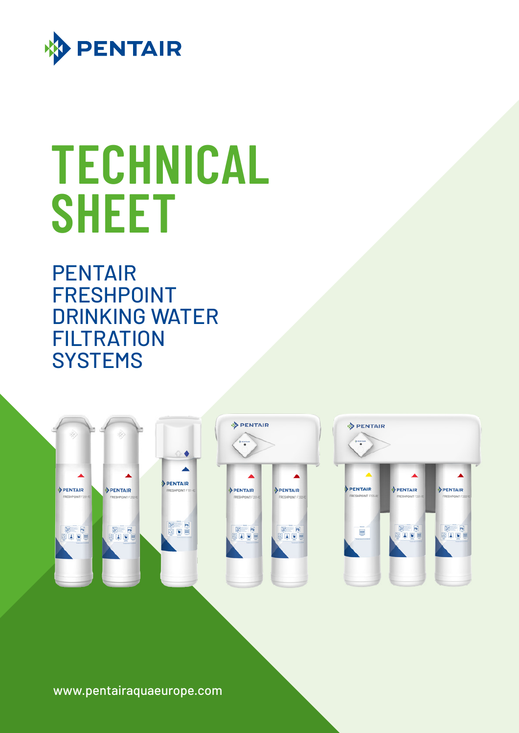

# **TECHNICAL SHEET**

PENTAIR FRESHPOINT DRINKING WATER **FILTRATION SYSTEMS** 



www.pentairaquaeurope.com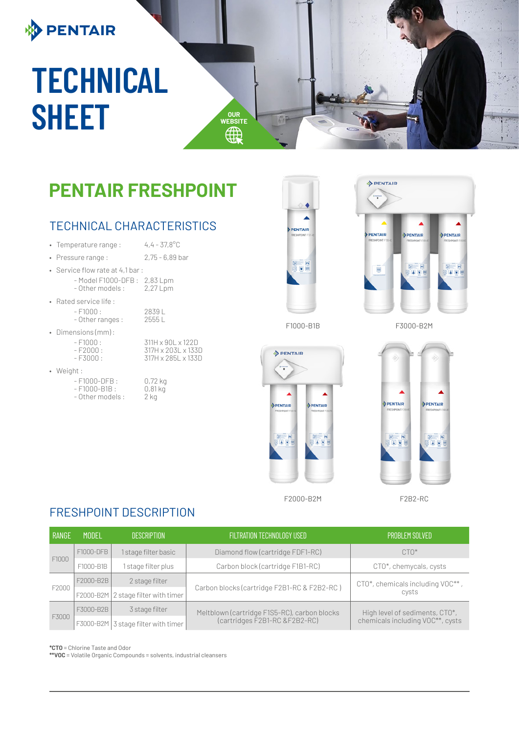## **BENTAIR**

## **TECHNICAL SHEET WEBSITER**

### **PENTAIR FRESHPOINT**

#### TECHNICAL CHARACTERISTICS

• Temperature range :  $4,4-37,8^{\circ}$ C

• Pressure range : 2,75 - 6,89 bar

317H x 285L x 133D

- Service flow rate at 4,1 bar : - Model F1000-DFB: 2,83 Lpm<br>- Other models: 2,27 Lpm - Other models :
- Rated service life :
	- F1000 : 2839 L<br>- Other ranges : 2555 L
		- Other ranges :
- Dimensions (mm) :
	- F1000 : 311H x 90L x 122D<br>- F2000 : 317H x 203L x 133I - F2000 : 317H x 203L x 133D
	-
- Weight :
	- F1000-DFB : 0,72 kg<br>- F1000-B1B : 0,81 kg - F1000-B1B : 0,81<br>- Other models : 2 kg  $-$  Other models :





 $\sim$ 

**[WEBSITE](http://www.pentairaquaeurope.com/)**



F1000-B1B

F3000-B2M



PENTAIR PENTAIR **ABL A** 

F2000-B2M

F2B2-RC

#### FRESHPOINT DESCRIPTION

| I RANGE | <b>MODEL</b> | <b>DESCRIPTION</b>                  | <b>FILTRATION TECHNOLOGY USED</b>            | <b>PROBLEM SOLVED</b>                                              |  |
|---------|--------------|-------------------------------------|----------------------------------------------|--------------------------------------------------------------------|--|
| F1000   | F1000-DFB    | 1 stage filter basic                | Diamond flow (cartridge FDF1-RC)             | $CTO*$                                                             |  |
|         | F1000-B1B    | I stage filter plus                 | Carbon block (cartridge F1B1-RC)             | CTO*, chemycals, cysts                                             |  |
| F2000   | F2000-B2B    | 2 stage filter                      |                                              | CTO*, chemicals including VOC**,<br>cysts                          |  |
|         |              | F2000-B2M 2 stage filter with timer | Carbon blocks (cartridge F2B1-RC & F2B2-RC)  |                                                                    |  |
| F3000   | F3000-B2B    | 3 stage filter                      | Meltblown (cartridge F1S5-RC), carbon blocks | High level of sediments, CTO*,<br>chemicals including VOC**, cysts |  |
|         |              | F3000-B2M 3 stage filter with timer | (cartridges F2B1-RC & F2B2-RC)               |                                                                    |  |

**\*CTO** = Chlorine Taste and Odor

**\*\*VOC** = Volatile Organic Compounds = solvents, industrial cleansers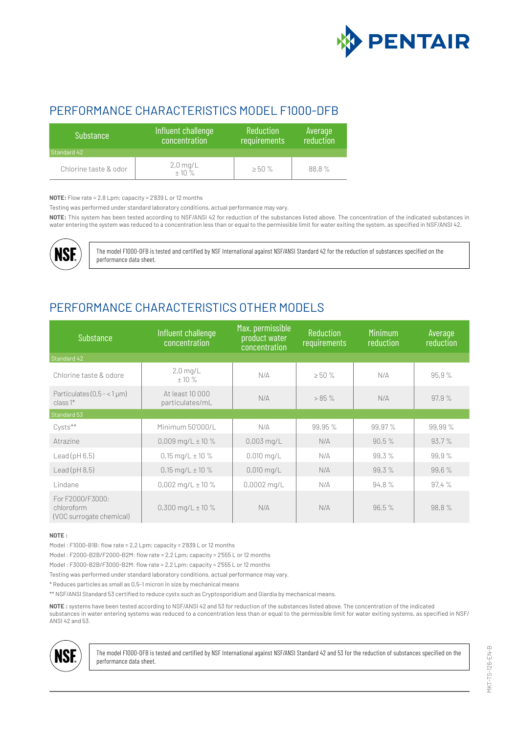

#### PERFORMANCE CHARACTERISTICS MODEL F1000-DFB

| <b>Substance</b>      | Influent challenge<br>concentration | <b>Reduction</b><br>requirements | Average<br>reduction |
|-----------------------|-------------------------------------|----------------------------------|----------------------|
| Standard 42           |                                     |                                  |                      |
| Chlorine taste & odor | $2,0 \text{ mg/L}$<br>$\pm 10 \%$   | >50%                             | 88,8%                |

**NOTE:** Flow rate = 2,8 Lpm; capacity = 2'839 L or 12 months

Testing was performed under standard laboratory conditions, actual performance may vary.

**NOTE:** This system has been tested according to NSF/ANSI 42 for reduction of the substances listed above. The concentration of the indicated substances in water entering the system was reduced to a concentration less than or equal to the permissible limit for water exiting the system, as specified in NSF/ANSI 42.



The model F1000-DFB is tested and certified by NSF International against NSF/ANSI Standard 42 for the reduction of substances specified on the performance data sheet.

#### PERFORMANCE CHARACTERISTICS OTHER MODELS

| <b>Substance</b>                                           | Influent challenge<br>concentration | Max. permissible<br>product water<br>concentration | Reduction<br>requirements | <b>Minimum</b><br>reduction | Average<br>reduction |
|------------------------------------------------------------|-------------------------------------|----------------------------------------------------|---------------------------|-----------------------------|----------------------|
| Standard 42                                                |                                     |                                                    |                           |                             |                      |
| Chlorine taste & odore                                     | $2,0$ mg/L<br>$+10%$                | N/A                                                | $\geq 50 \%$              | N/A                         | 95,9%                |
| Particulates $(0.5 - < 1 \,\mu m)$<br>$class1^*$           | At least 10 000<br>particulates/mL  | N/A                                                | $> 85 \%$                 | N/A                         | 97,9%                |
| Standard 53                                                |                                     |                                                    |                           |                             |                      |
| Cysts**                                                    | Minimum 50'000/L                    | N/A                                                | 99,95 %                   | 99,97%                      | 99,99 %              |
| Atrazine                                                   | $0,009$ mg/L $\pm$ 10 %             | $0,003$ mg/L                                       | N/A                       | 90,5%                       | 93,7%                |
| Leaf(pH 6, 5)                                              | $0,15 \text{ mg/L} \pm 10 \%$       | $0,010$ mg/L                                       | N/A                       | 99,3%                       | 99,9%                |
| Leaf(pH 8, 5)                                              | $0,15 \text{ mg/L} \pm 10 \%$       | $0,010$ mg/L                                       | N/A                       | 99,3%                       | 99,6%                |
| Lindane                                                    | $0,002$ mg/L $\pm$ 10 %             | $0,0002$ mg/L                                      | N/A                       | 94,8%                       | 97,4%                |
| For F2000/F3000:<br>chloroform<br>(VOC surrogate chemical) | $0,300$ mg/L $\pm$ 10 %             | N/A                                                | N/A                       | 96,5%                       | 98.8%                |

#### **NOTE :**

Model : F1000-B1B: flow rate = 2,2 Lpm; capacity = 2'839 L or 12 months

Model : F2000-B2B/F2000-B2M: flow rate = 2,2 Lpm; capacity = 2'555 L or 12 months

Model : F3000-B2B/F3000-B2M: flow rate = 2,2 Lpm; capacity = 2'555 L or 12 months

Testing was performed under standard laboratory conditions, actual performance may vary.

\* Reduces particles as small as 0,5-1 micron in size by mechanical means

\*\* NSF/ANSI Standard 53 certified to reduce cysts such as Cryptosporidium and Giardia by mechanical means.

**NOTE :** systems have been tested according to NSF/ANSI 42 and 53 for reduction of the substances listed above. The concentration of the indicated substances in water entering systems was reduced to a concentration less than or equal to the permissible limit for water exiting systems, as specified in NSF/ ANSI 42 and 53.



The model F1000-DFB is tested and certified by NSF International against NSF/ANSI Standard 42 and 53 for the reduction of substances specified on the performance data sheet.